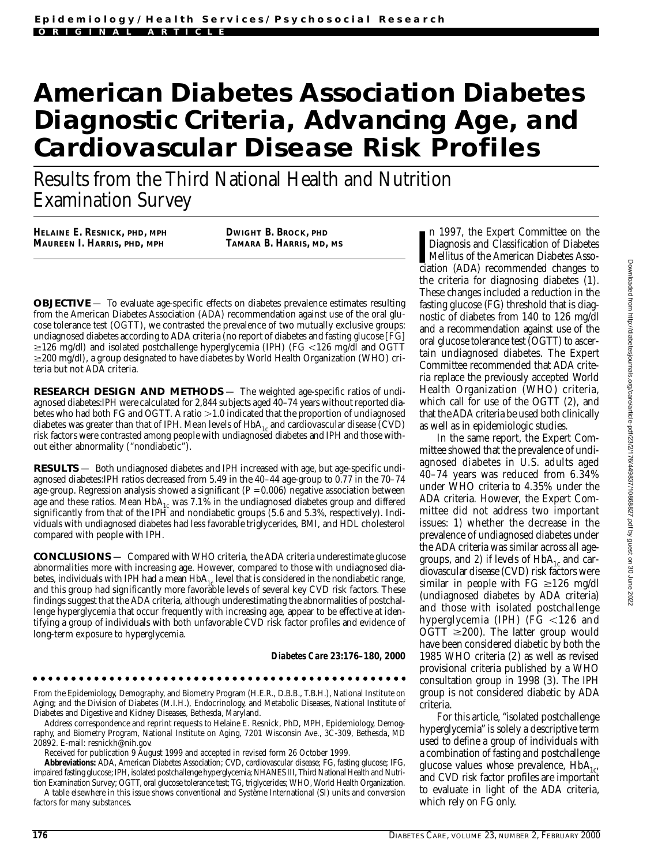## **American Diabetes Association Diabetes Diagnostic Criteria, Advancing Age, and Cardiovascular Disease Risk Profiles**

Results from the Third National Health and Nutrition **Examination Survey** 

**HELAINE E. RESNICK, PHD, MPH MAUREEN I. HARRIS, PHD, MPH**

**DWIGHT B. BROCK, PHD TAMARA B. HARRIS, MD, MS**

**OBJECTIVE** — To evaluate age-specific effects on diabetes prevalence estimates resulting from the American Diabetes Association (ADA) recommendation against use of the oral glucose tolerance test (OGTT), we contrasted the prevalence of two mutually exclusive groups: undiagnosed diabetes according to ADA criteria (no report of diabetes and fasting glucose [FG]  $\geq$ 126 mg/dl) and isolated postchallenge hyperglycemia (IPH) (FG <126 mg/dl and OGTT  $\geq$  200 mg/dl), a group designated to have diabetes by World Health Organization (WHO) criteria but not ADA criteria.

**RESEARCH DESIGN AND METHODS** — The weighted age-specific ratios of undiagnosed diabetes: IPH were calculated for 2,844 subjects aged 40-74 years without reported diabetes who had both FG and OGTT. A ratio  $>1.0$  indicated that the proportion of undiagnosed diabetes was greater than that of IPH. Mean levels of  $HbA_{1c}$  and cardiovascular disease (CVD) risk factors were contrasted among people with undiagnosed diabetes and IPH and those without either abnormality ("nondiabetic").

RESULTS — Both undiagnosed diabetes and IPH increased with age, but age-specific undiagnosed diabetes:IPH ratios decreased from 5.49 in the 40–44 age-group to 0.77 in the 70–74 age-group. Regression analysis showed a significant  $(P = 0.006)$  negative association between age and these ratios. Mean HbA<sub>1c</sub> was 7.1% in the undiagnosed diabetes group and differed<br>significantly from that of the IPH and nondiabetic groups (5.6 and 5.3%, respectively). Individuals with undiagnosed diabetes had less favorable triglycerides, BMI, and HDL cholesterol compared with people with IPH.

**CONCLUSIONS** — Compared with WHO criteria, the ADA criteria underestimate glucose abnormalities more with increasing age. However, compared to those with undiagnosed diabetes, individuals with IPH had a mean  $HbA_{1c}$  level that is considered in the nondiabetic range, and this group had significantly more favorable levels of several key CVD risk factors. These findings suggest that the ADA criteria, although underestimating the abnormalities of postchallenge hyperglycemia that occur frequently with increasing age, appear to be effective at identifying a group of individuals with both unfavorable CVD risk factor profiles and evidence of long-term exposure to hyperglycemia.

*Diabetes Care* **2 3 :1 7 6–180, 2000**

## ...................

From the Epidemiology, Demography, and Biometry Program (H.E.R., D.B.B., T.B.H.), National Institute on Aging; and the Division of Diabetes (M.I.H.), Endocrinology, and Metabolic Diseases, National Institute of Diabetes and Digestive and Kidney Diseases, Bethesda, Maryland.

Address correspondence and reprint requests to Helaine E. Resnick, PhD, MPH, Epidemiology, Demography, and Biometry Program, National Institute on Aging, 7201 Wisconsin Ave., 3C-309, Bethesda, MD 20892. E-mail: resnickh@nih.gov.

Received for publication 9 August 1999 and accepted in revised form 26 October 1999.

Abbreviations: ADA, American Diabetes Association; CVD, cardiovascular disease; FG, fasting glucose; IFG, impaired fasting glucose; IPH, isolated postchallenge hyperglycemia; NHANES III, Third National Health and Nutrition Examination Survey; OGTT, oral glucose tolerance test; TG, triglycerides; WHO, World Health Organization.

A table elsewhere in this issue shows conventional and Système International (SI) units and conversion factors for many substances.

In 1997, the Expert Committee on the Diagnosis and Classification of Diabetes Mellitus of the American Diabetes Association (ADA) recommended changes to n 1997, the Expert Committee on the Diagnosis and Classification of Diabetes Mellitus of the American Diabetes Assothe criteria for diagnosing diabetes (1). These changes included a reduction in the fasting glucose (FG) threshold that is diagnostic of diabetes from 140 to 126 mg/dl and a recommendation against use of the oral glucose tolerance test (OGTT) to ascertain undiagnosed diabetes. The Expert Committee recommended that ADA criteria replace the previously accepted World Health Organization (WHO) criteria, which call for use of the OGTT (2), and that the ADA criteria be used both clinically as well as in epidemiologic studies.

In the same report, the Expert Committee showed that the prevalence of undiagnosed diabetes in U.S. adults aged 40–74 years was reduced from 6.34% under WHO criteria to 4.35% under the ADA criteria. However, the Expert Committee did not address two important issues: 1) whether the decrease in the p revalence of undiagnosed diabetes under the ADA criteria was similar across all agegroups, and 2) if levels of  $HbA_{1c}$  and cardiovascular disease (CVD) risk factors were similar in people with FG  $\geq$ 126 mg/dl (undiagnosed diabetes by ADA criteria) and those with isolated postchallenge hyperglycemia (IPH) (FG  $<$  126 and  $\overline{OGTT} \ge 200$ ). The latter group would have been considered diabetic by both the 1985 WHO criteria  $(2)$  as well as revised p rovisional criteria published by a WHO consultation group in 1998 (3). The IPH group is not considered diabetic by ADA criteria.

For this article, "isolated postchallenge hy perglycemia" is solely a descriptive term used to define a group of individuals with a combination of fasting and postchallenge glucose values whose prevalence,  $HbA_{1c}$ , and CVD risk factor profiles are important to evaluate in light of the ADA criteria, which rely on FG only.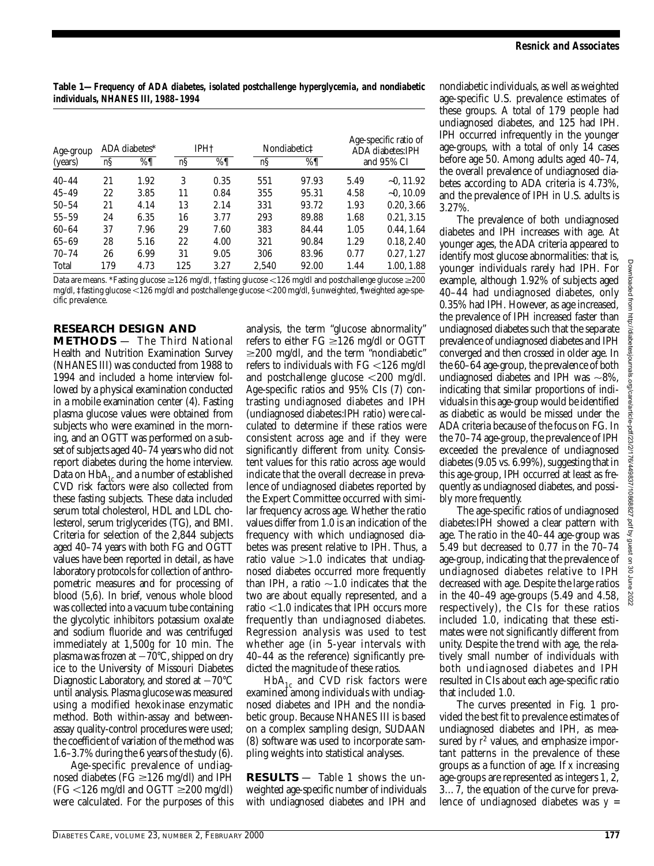**Table 1—***F requency of ADA diabetes, isolated postchallenge hyperglycemia, and nondiabetic individuals, NHANES III, 1988–1994*

| Age-group | ADA diabetes* |      | IPH <sup>+</sup> |      | Nondiabetic <sup>+</sup> |       | Age-specific ratio of<br>ADA diabetes: IPH |            |
|-----------|---------------|------|------------------|------|--------------------------|-------|--------------------------------------------|------------|
| (years)   | n§            | %    | n§               | %    | n§                       | %     | and 95% CI                                 |            |
| $40 - 44$ | 21            | 1.92 | 3                | 0.35 | 551                      | 97.93 | 5.49                                       | 0.11.92    |
| $45 - 49$ | 22            | 3.85 | 11               | 0.84 | 355                      | 95.31 | 4.58                                       | 0.10.09    |
| $50 - 54$ | 21            | 4.14 | 13               | 2.14 | 331                      | 93.72 | 1.93                                       | 0.20.3.66  |
| $55 - 59$ | 24            | 6.35 | 16               | 3.77 | 293                      | 89.88 | 1.68                                       | 0.21, 3.15 |
| $60 - 64$ | 37            | 7.96 | 29               | 7.60 | 383                      | 84.44 | 1.05                                       | 0.44.1.64  |
| $65 - 69$ | 28            | 5.16 | 22               | 4.00 | 321                      | 90.84 | 1.29                                       | 0.18.2.40  |
| $70 - 74$ | 26            | 6.99 | 31               | 9.05 | 306                      | 83.96 | 0.77                                       | 0.27, 1.27 |
| Total     | 179           | 4.73 | 125              | 3.27 | 2,540                    | 92.00 | 1.44                                       | 1.00.1.88  |

Data are means. \*Fasting glucose  $\geq$ 126 mg/dl, †fasting glucose  $\leq$ 126 mg/dl and postchallenge glucose  $\geq$ 200 mg/dl, ‡fasting glucose 126 mg/dl and postchallenge glucose 200 mg/dl, §unweighted, ¶weighted age-specific prevalence.

## **RESEARCH DESIGN AND**

METHODS - The Third National Health and Nutrition Examination Survey (NHANES III) was conducted from 1988 to 1994 and included a home interview followed by a physical examination conducted in a mobile examination center (4). Fasting plasma glucose values were obtained from subjects who were examined in the morning, and an OGTT was performed on a subset of subjects aged 40–74 years who did not report diabetes during the home interview. Data on  $HbA_{1c}$  and a number of established CVD risk factors were also collected from these fasting subjects. These data included serum total cholesterol, HDL and LDL cholesterol, serum triglycerides (TG), and BMI. Criteria for selection of the 2,844 subjects aged 40–74 years with both FG and OGTT values have been reported in detail, as have laboratory protocols for collection of anthropometric measures and for processing of blood (5,6). In brief, venous whole blood was collected into a vacuum tube containing the glycolytic inhibitors potassium oxalate and sodium fluoride and was centrifuged immediately at 1,500*g* for 10 min. The plasma was frozen at  $-70^{\circ}$ C, shipped on dry ice to the University of Missouri Diabetes Diagnostic Laboratory, and stored at  $-70^{\circ}$ C until analysis. Plasma glucose was measured using a modified hexokinase enzymatic method. Both within-assay and betweenassay quality-control procedures were used; the coefficient of variation of the method was 1.6–3.7% during the 6 years of the study (6).

Age-specific prevalence of undiagnosed diabetes (FG  $\geq$ 126 mg/dl) and IPH  $(FG \le 126 \text{ mg/dl}$  and OGTT  $\ge 200 \text{ mg/dl}$ were calculated. For the purposes of this analysis, the term "glucose abnormality" refers to either  $FG \ge 126$  mg/dl or OGTT  $\geq$ 200 mg/dl, and the term "nondiabetic" refers to individuals with  $FG < 126$  mg/dl and postchallenge glucose  $\langle 200 \rangle$  mg/dl. Age-specific ratios and 95% CIs (7) contrasting undiagnosed diabetes and IPH (undiagnosed diabetes:IPH ratio) were calculated to determine if these ratios were consistent across age and if they were significantly different from unity. Consistent values for this ratio across age would indicate that the overall decrease in prevalence of undiagnosed diabetes reported by the Expert Committee occurred with similar frequency across age. Whether the ratio values differ from 1.0 is an indication of the frequency with which undiagnosed diabetes was present relative to IPH. Thus, a ratio value  $>1.0$  indicates that undiagnosed diabetes occurred more frequently than IPH, a ratio  $\sim$  1.0 indicates that the two are about equally represented, and a ratio  $<$  1.0 indicates that IPH occurs more frequently than undiagnosed diabetes. Regression analysis was used to test whether age (in 5-year intervals with 40–44 as the reference) significantly predicted the magnitude of these ratios.

 $H b A_{1c}$  and CVD risk factors were examined among individuals with undiagnosed diabetes and IPH and the nondiabetic group. Because NHANES III is based on a complex sampling design, SUDAAN (8) software was used to incorporate sampling weights into statistical analyses.

**R E S U LT S** — Table 1 shows the unweighted age-specific number of individuals with undiagnosed diabetes and IPH and nondiabetic individuals, as well as weighted age-specific U.S. prevalence estimates of these groups. A total of 179 people had undiagnosed diabetes, and 125 had IPH. IPH occurred infrequently in the younger age-groups, with a total of only 14 cases before age 50. Among adults aged 40–74, the overall prevalence of undiagnosed diabetes according to ADA criteria is 4.73%, and the prevalence of IPH in U.S. adults is 3 . 2 7 % .

The prevalence of both undiagnosed diabetes and IPH increases with age. At younger ages, the ADA criteria appeared to identify most glucose abnormalities: that is, younger individuals rarely had IPH. For example, although 1.92% of subjects aged 40–44 had undiagnosed diabetes, only  $0.35\%$  had IPH. However, as age increased, the prevalence of IPH increased faster than undiagnosed diabetes such that the separate prevalence of undiagnosed diabetes and IPH converged and then crossed in older age. In the 60–64 age-group, the prevalence of both undiagnosed diabetes and IPH was  $\sim$ 8%. indicating that similar proportions of individuals in this age-group would be identified as diabetic as would be missed under the ADA criteria because of the focus on FG. In the 70–74 age-group, the prevalence of IPH exceeded the prevalence of undiagnosed diabetes (9.05 vs. 6.99%), suggesting that in this age-group, IPH occurred at least as frequently as undiagnosed diabetes, and possibly more frequently.

The age-specific ratios of undiagnosed diabetes:IPH showed a clear pattern with age. The ratio in the 40–44 age-group was 5.49 but decreased to 0.77 in the 70–74 age-group, indicating that the prevalence of undiagnosed diabetes relative to IPH decreased with age. Despite the large ratios in the 40–49 age-groups (5.49 and 4.58, respectively), the CIs for these ratios included 1.0, indicating that these estimates were not significantly different from unity. Despite the trend with age, the relatively small number of individuals with both undiagnosed diabetes and IPH resulted in CIs about each age-specific ratio that included 1.0.

The curves presented in Fig. 1 provided the best fit to prevalence estimates of undiagnosed diabetes and IPH, as measured by r<sup>2</sup> values, and emphasize important patterns in the prevalence of these groups as a function of age. If x increasing age-groups are represented as integers 1, 2, 3...7, the equation of the curve for prevalence of undiagnosed diabetes was *y* =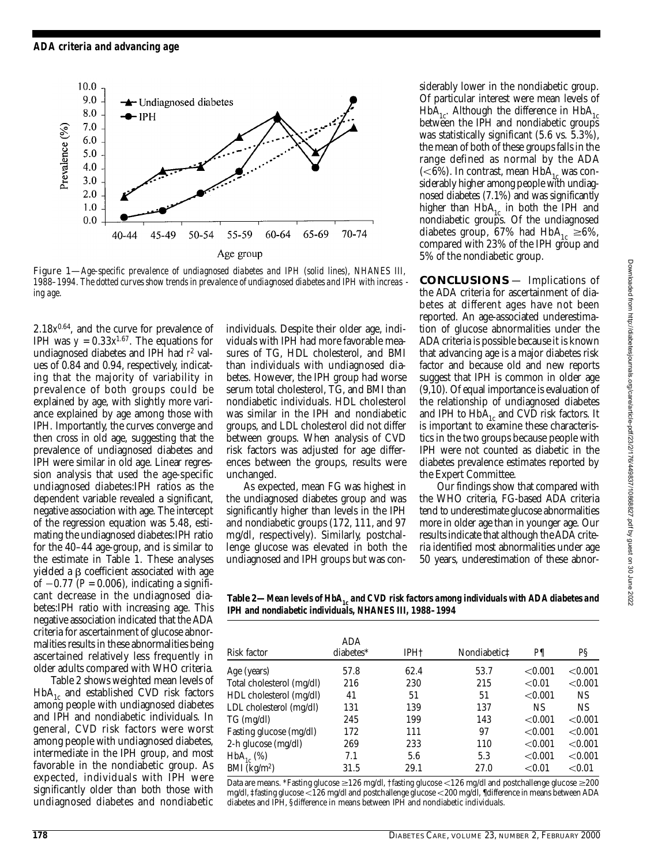

Figure 1—*Age-specific prevalence of undiagnosed diabetes and IPH (solid lines), NHANES III,* 1988–1994. The dotted curves show trends in prevalence of undiagnosed diabetes and IPH with increas *ing age.*

2.18x<sup>0.64</sup>, and the curve for prevalence of IPH was  $y = 0.33x^{1.67}$ . The equations for undiagnosed diabetes and IPH had r<sup>2</sup> values of 0.84 and 0.94, respectively, indicating that the majority of variability in prevalence of both groups could be explained by age, with slightly more variance explained by age among those with IPH. Importantly, the curves converge and then cross in old age, suggesting that the p revalence of undiagnosed diabetes and IPH were similar in old age. Linear regression analysis that used the age-specific undiagnosed diabetes:IPH ratios as the dependent variable revealed a significant, negative association with age. The intercept of the regression equation was 5.48, estimating the undiagnosed diabetes:IPH ratio for the 40–44 age-group, and is similar to the estimate in Table 1. These analyses yielded a  $\beta$  coefficient associated with age of  $-0.77$  ( $P = 0.006$ ), indicating a significant decrease in the undiagnosed diabetes:IPH ratio with increasing age. This negative association indicated that the ADA criteria for ascertainment of glucose abnormalities results in these abnormalities being ascertained relatively less frequently in older adults compared with WHO criteria.

Table 2 shows weighted mean levels of  $H b A_{1c}$  and established CVD risk factors among people with undiagnosed diabetes and IPH and nondiabetic individuals. In general, CVD risk factors were worst among people with undiagnosed diabetes, intermediate in the IPH group, and most favorable in the nondiabetic group. As expected, individuals with IPH were significantly older than both those with undiagnosed diabetes and nondiabetic

individuals. Despite their older age, individuals with IPH had more favorable measures of TG, HDL cholesterol, and BMI than individuals with undiagnosed diabetes. However, the IPH group had worse serum total cholesterol, TG, and BMI than nondiabetic individuals. HDL cholesterol was similar in the IPH and nondiabetic groups, and LDL cholesterol did not differ between groups. When analysis of CVD risk factors was adjusted for age differences between the groups, results were un changed.

As expected, mean FG was highest in the undiagnosed diabetes group and was significantly higher than levels in the IPH and nondiabetic groups (172, 111, and 97 mg/dl, respectively). Similarly, postchallenge glucose was elevated in both the undiagnosed and IPH groups but was considerably lower in the nondiabetic group. Of particular interest were mean levels of  $HbA_{1c}$ . Although the difference in  $HbA_{1c}$ between the IPH and nondiabetic groups was statistically significant (5.6 vs. 5.3%), the mean of both of these groups falls in the range defined as normal by the ADA ( $<6\%$ ). In contrast, mean HbA<sub>1c</sub> was considerably higher among people with undiagnosed diabetes (7.1%) and was significantly higher than  $HbA_{1c}$  in both the IPH and nondiabetic groups. Of the undiagnosed diabetes group, 67% had  $HbA_{1c} \geq 6\%$ , compared with 23% of the IPH group and 5% of the nondiabetic group.

**CONCLUSIONS** — Implications of the ADA criteria for ascertainment of diabetes at different ages have not been reported. An age-associated underestimation of glucose abnormalities under the ADA criteria is possible because it is known that advancing age is a major diabetes risk factor and because old and new reports suggest that IPH is common in older age (9,10). Of equal importance is evaluation of the relationship of undiagnosed diabetes and IPH to  $HbA_{1c}$  and CVD risk factors. It is important to examine these characteristics in the two groups because people with IPH were not counted as diabetic in the diabetes prevalence estimates reported by the Expert Committee.

Our findings show that compared with the WHO criteria, FG-based ADA criteria tend to underestimate glucose abnormalities more in older age than in younger age. Our results indicate that although the ADA criteria identified most abnormalities under age 50 years, underestimation of these abnor-

Table 2—Mean levels of HbA<sub>1c</sub> and CVD risk factors among individuals with ADA diabetes and *IPH and nondiabetic individuals, NHANES III, 1988–1994*

| Risk factor               | ADA<br>diabetes* | IPH <sup>+</sup> | Nondiabetic <sup>+</sup> | P¶        |           |
|---------------------------|------------------|------------------|--------------------------|-----------|-----------|
|                           |                  |                  |                          |           | P§        |
| Age (years)               | 57.8             | 62.4             | 53.7                     | $<$ 0.001 | < 0.001   |
| Total cholesterol (mg/dl) | 216              | 230              | 215                      | < 0.01    | < 0.001   |
| HDL cholesterol (mg/dl)   | 41               | 51               | 51                       | < 0.001   | <b>NS</b> |
| LDL cholesterol (mg/dl)   | 131              | 139              | 137                      | <b>NS</b> | <b>NS</b> |
| TG (mg/dl)                | 245              | 199              | 143                      | < 0.001   | < 0.001   |
| Fasting glucose (mg/dl)   | 172              | 111              | 97                       | < 0.001   | < 0.001   |
| 2-h glucose (mg/dl)       | 269              | 233              | 110                      | $<$ 0.001 | < 0.001   |
| $HbA_{1c}$ (%)            | 7.1              | 5.6              | 5.3                      | < 0.001   | < 0.001   |
| BMI (kg/m <sup>2</sup> )  | 31.5             | 29.1             | 27.0                     | < 0.01    | < 0.01    |

Data are means. \*Fasting glucose ≥126 mg/dl, †fasting glucose <126 mg/dl and postchallenge glucose ≥200 mg/dl, ‡fasting glucose  $\leq$ 126 mg/dl and postchallenge glucose  $\leq$ 200 mg/dl, ¶difference in means between ADA diabetes and IPH, §difference in means between IPH and nondiabetic individuals.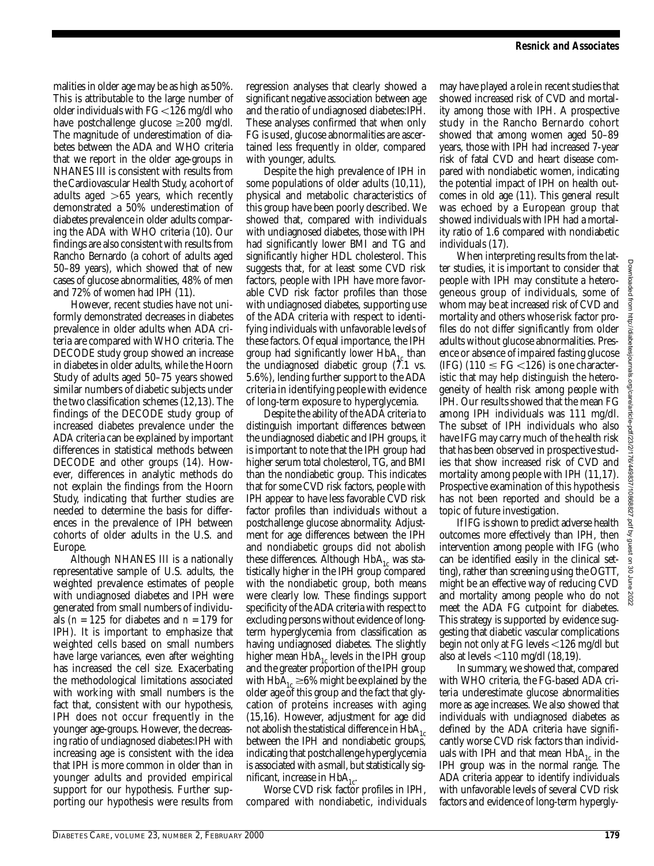malities in older age may be as high as 50%. This is attributable to the large number of older individuals with  $FG < 126$  mg/dl who have postchallenge glucose  $\geq 200$  mg/dl. The magnitude of underestimation of diabetes between the ADA and WHO criteria that we report in the older age-groups in NHANES III is consistent with results from the Cardiovascular Health Study, a cohort of adults aged  $>65$  years, which recently demonstrated a 50% underestimation of diabetes prevalence in older adults comparing the ADA with WHO criteria (10). Our findings are also consistent with results from Rancho Bernardo (a cohort of adults aged 50–89 years), which showed that of new cases of glucose abnormalities, 48% of men and 72% of women had IPH (11).

However, recent studies have not uniformly demonstrated decreases in diabetes p revalence in older adults when ADA criteria are compared with WHO criteria. The DECODE study group showed an increase in diabetes in older adults, while the Hoorn Study of adults aged 50–75 years showed similar numbers of diabetic subjects under the two classification schemes (12,13). The findings of the DECODE study group of increased diabetes prevalence under the ADA criteria can be explained by important differences in statistical methods between DECODE and other groups (14). However, differences in analytic methods do not explain the findings from the Hoorn Study, indicating that further studies are needed to determine the basis for differences in the prevalence of IPH between cohorts of older adults in the U.S. and Europe.

Although NHANES III is a nationally representative sample of U.S. adults, the weighted prevalence estimates of people with undiagnosed diabetes and IPH were generated from small numbers of individuals (*n* = 125 for diabetes and *n* = 179 for IPH). It is important to emphasize that weighted cells based on small numbers have large variances, even after weighting has increased the cell size. Exacerbating the methodological limitations associated with working with small numbers is the fact that, consistent with our hypothesis, IPH does not occur frequently in the younger age-groups. However, the decreasing ratio of undiagnosed diabetes:IPH with increasing age is consistent with the idea that IPH is more common in older than in younger adults and provided empirical support for our hypothesis. Further supporting our hypothesis were results from

regression analyses that clearly showed a significant negative association between age and the ratio of undiagnosed diabetes:IPH. These analyses confirmed that when only FG is used, glucose abnormalities are ascertained less frequently in older, compared with younger, adults.

Despite the high prevalence of IPH in some populations of older adults (10,11), physical and metabolic characteristics of this group have been poorly described. We showed that, compared with individuals with undiagnosed diabetes, those with IPH had significantly lower BMI and TG and significantly higher HDL cholesterol. This suggests that, for at least some CVD risk factors, people with IPH have more favorable CVD risk factor profiles than those with undiagnosed diabetes, supporting use of the ADA criteria with respect to identifying individuals with unfavorable levels of these factors. Of equal importance, the IPH group had significantly lower  $HbA_{1c}$  than the undiagnosed diabetic group (7.1 vs. 5.6%), lending further support to the ADA criteria in identifying people with evidence of long-term exposure to hyperglycemia.

Despite the ability of the ADA criteria to distinguish important differences between the undiagnosed diabetic and IPH groups, it is important to note that the IPH group had higher serum total cholesterol, TG, and BMI than the nondiabetic group. This indicates that for some CVD risk factors, people with IPH appear to have less favorable CVD risk factor profiles than individuals without a postchallenge glucose abnormality. Adjustment for age differences between the IPH and nondiabetic groups did not abolish these differences. Although  $HbA_{1c}$  was statistically higher in the IPH group compared with the nondiabetic group, both means were clearly low. These findings support specificity of the ADA criteria with respect to excluding persons without evidence of longterm hyperglycemia from classification as having undiagnosed diabetes. The slightly higher mean  $HbA_{1c}$  levels in the IPH group and the greater proportion of the IPH group with  $HbA_{1c} \geq 6\%$  might be explained by the older age of this group and the fact that glycation of proteins increases with aging (15,16). However, adjustment for age did not abolish the statistical difference in  $HbA_{1c}$ between the IPH and nondiabetic groups, indicating that postchallenge hyperglycemia is associated with a small, but statistically significant, increase in  $HbA_{1c}$ .

Worse CVD risk factor profiles in IPH, compared with nondiabetic, individuals

may have played a role in recent studies that showed increased risk of CVD and mortality among those with IPH. A prospective study in the Rancho Bernardo cohort showed that among women aged 50–89 years, those with IPH had increased 7-year risk of fatal CVD and heart disease compared with nondiabetic women, indicating the potential impact of IPH on health outcomes in old age  $(11)$ . This general result was echoed by a European group that showed individuals with IPH had a mortality ratio of 1.6 compared with nondiabetic individuals (17).

When interpreting results from the latter studies, it is important to consider that people with IPH may constitute a heterogeneous group of individuals, some of whom may be at increased risk of CVD and mortality and others whose risk factor profiles do not differ significantly from older adults without glucose abnormalities. Presence or absence of impaired fasting glucose (IFG) (110  $\leq$  FG  $\lt$ 126) is one characteristic that may help distinguish the heterogeneity of health risk among people with IPH. Our results showed that the mean FG among IPH individuals was 111 mg/dl. The subset of IPH individuals who also have IFG may carry much of the health risk that has been observed in prospective studies that show increased risk of CVD and mortality among people with IPH  $(11,17)$ . Prospective examination of this hypothesis has not been reported and should be a topic of future investigation.

If IFG is shown to predict adverse health outcomes more effectively than IPH, then intervention among people with IFG (who can be identified easily in the clinical setting), rather than screening using the OGTT, might be an effective way of reducing CVD and mortality among people who do not meet the ADA FG cutpoint for diabetes. This strategy is supported by evidence suggesting that diabetic vascular complications begin not only at FG levels  $\leq$  126 mg/dl but also at levels  $<$ 110 mg/dl (18,19).

In summary, we showed that, compare d with WHO criteria, the FG-based ADA criteria underestimate glucose abnormalities more as age increases. We also showed that individuals with undiagnosed diabetes as defined by the ADA criteria have significantly worse CVD risk factors than individuals with IPH and that mean  $HbA_{1c}$  in the IPH group was in the normal range. The ADA criteria appear to identify individuals with unfavorable levels of several CVD risk factors and evidence of long-term hypergly